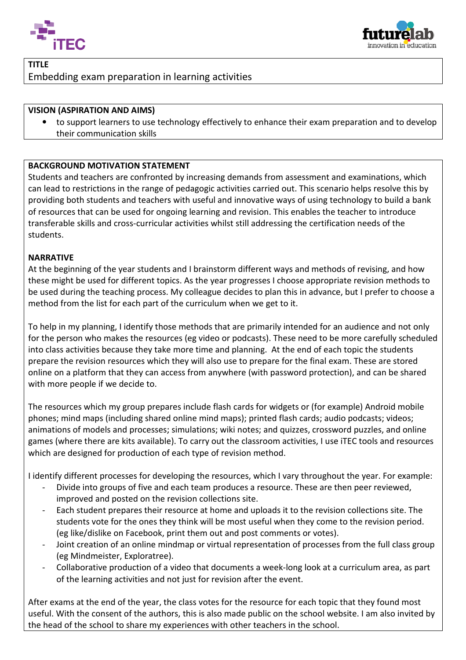



## TITLE Embedding exam preparation in learning activities

## VISION (ASPIRATION AND AIMS)

to support learners to use technology effectively to enhance their exam preparation and to develop their communication skills

## BACKGROUND MOTIVATION STATEMENT

Students and teachers are confronted by increasing demands from assessment and examinations can lead to restrictions in the range of pedagogic activities carried out. This scenario helps resolve this by providing both students and teachers with useful and innovative ways of using technology to build a bank of resources that can be used for ongoing learning and revision. This enables the teacher to introduce transferable skills and cross-curricular activities whilst still addressing the certification needs of the students. o support learners to use technology effectively to enhance their exam prep-<br>heir communication skills<br>**COUND MOTIVATION STATEMENT**<br>s and teachers are confronted by increasing demands from assessment and exponential to res examinations, which

## NARRATIVE

At the beginning of the year students and I brainstorm different ways and methods of revising, and how these might be used for different topics. As the year progresses I choose appropriate revision methods to be used during the teaching process. My colleague decides to plan this in advance, but I prefer to choose a method from the list for each part of the curriculum when we get to it.

To help in my planning, I identify those methods that are primarily intended for an audience and not only for the person who makes the resources (eg video or podcasts). These need to be more carefully scheduled into class activities because they take more time and planning. At the end of each topic the students prepare the revision resources which they will also use to prepare for the final exam. These are stored online on a platform that they can access from anywhere (with password protection), and can be shared with more people if we decide to. ito support learners to use technology effectively to cmhance their casm preparation and to develop<br>
their communitation saits<br> **GROUND MOTIVATION STATEMENT**<br> **GROUND MOTIVATION STATEMENT**<br> **GROUND MOTIVATION STATEMENT**<br>

The resources which my group prepares include flash cards for widgets or (for example) Android mobile phones; mind maps (including shared online mind maps); printed flash cards; audio podcasts; videos; animations of models and processes; simulations; wiki notes; and quizzes, crossword puzzles, and online games (where there are kits available). To carry out the classroom activities, I use iTEC tools and resources which are designed for production of each type of revision method.

I identify different processes for developing the resources, which I vary throughout the year. For example:

- Divide into groups of five and each team produces a resource. These are then peer reviewed, improved and posted on the revision collections site. improved and posted on the revision collections site.
- Each student prepares their resource at home and uploads it to the revision collections site. The students vote for the ones they think will be most useful when they come to the revision period. (eg like/dislike on Facebook, print them out and post comments or votes).
- Joint creation of an online mindmap or virtual representation of processes from the full class group (eg Mindmeister, Exploratree) Exploratree). (eg like/dislike on Facebook, print them out and post comments or votes).<br>
1 Joint creation of an online mindmap or virtual representation of processes from the full class group<br>
1 (eg Mindmeister, Exploratree).<br>
1 Collabo
- of the learning activities and not just for revision after the event.

After exams at the end of the year, the class votes for the resource for each topic that they found most useful. With the consent of the authors, this is also made public on the school website. I am also invited by the head of the school to share my experiences with other teachers in the school.